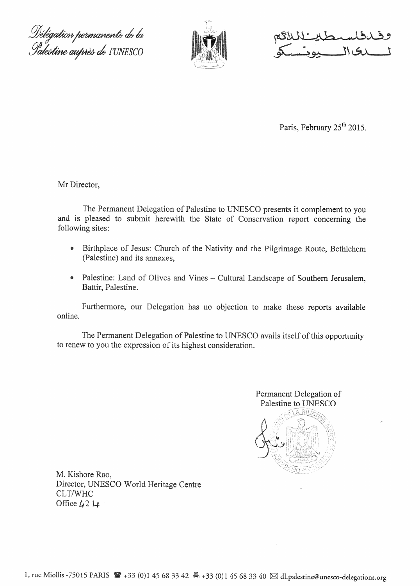Délégation permanente de la<br>Palestine auprès de l'UNESCO



Paris, February 25<sup>th</sup> 2015.

Mr Director,

The Permanent Delegation of Palestine to UNESCO presents it complement to you and is pleased to submit herewith the State of Conservation report concerning the following sites:

- Birthplace of Jesus: Church of the Nativity and the Pilgrimage Route, Bethlehem  $\bullet$ (Palestine) and its annexes,
- Palestine: Land of Olives and Vines Cultural Landscape of Southern Jerusalem,  $\bullet$ Battir, Palestine.

Furthermore, our Delegation has no objection to make these reports available online.

The Permanent Delegation of Palestine to UNESCO avails itself of this opportunity to renew to you the expression of its highest consideration.



M. Kishore Rao, Director, UNESCO World Heritage Centre CLT/WHC Office  $\mu$ 2  $\mu$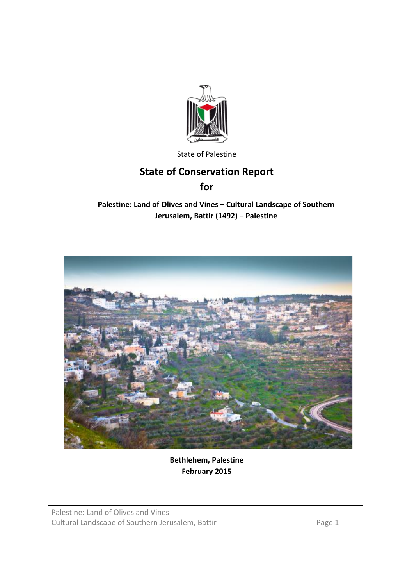

State of Palestine

# **State of Conservation Report**

**for**

# **Palestine: Land of Olives and Vines – Cultural Landscape of Southern Jerusalem, Battir (1492) – Palestine**



**Bethlehem, Palestine February 2015**

Palestine: Land of Olives and Vines Cultural Landscape of Southern Jerusalem, Battir Page 1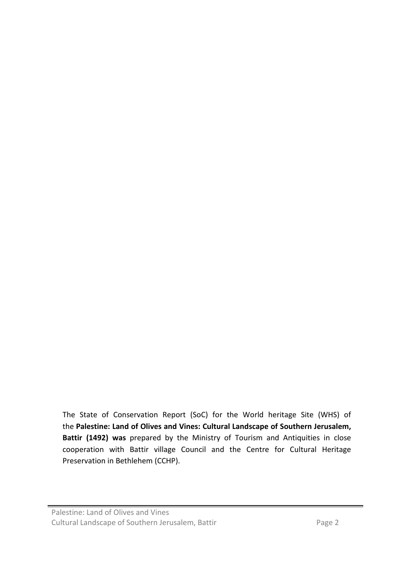The State of Conservation Report (SoC) for the World heritage Site (WHS) of the **Palestine: Land of Olives and Vines: Cultural Landscape of Southern Jerusalem, Battir (1492) was** prepared by the Ministry of Tourism and Antiquities in close cooperation with Battir village Council and the Centre for Cultural Heritage Preservation in Bethlehem (CCHP).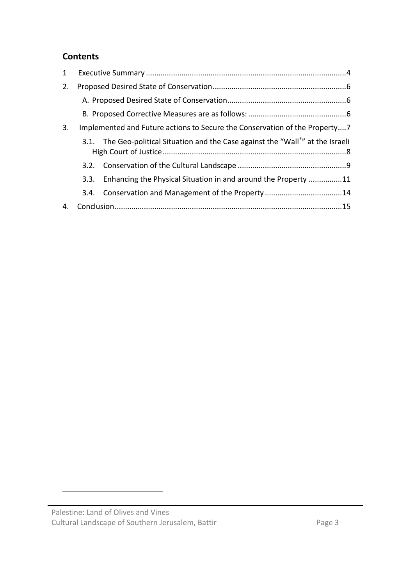# **Contents**

| $\mathbf{1}$ |      |                                                                                 |  |
|--------------|------|---------------------------------------------------------------------------------|--|
| 2.           |      |                                                                                 |  |
|              |      |                                                                                 |  |
|              |      |                                                                                 |  |
| 3.           |      | Implemented and Future actions to Secure the Conservation of the Property7      |  |
|              |      | 3.1. The Geo-political Situation and the Case against the "Wall" at the Israeli |  |
|              |      |                                                                                 |  |
|              | 3.3. | Enhancing the Physical Situation in and around the Property 11                  |  |
|              | 3.4. |                                                                                 |  |
| 4.           |      |                                                                                 |  |

<span id="page-3-0"></span> $\overline{a}$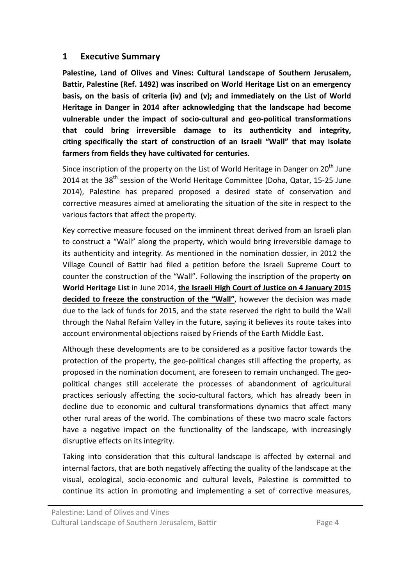#### **1 Executive Summary**

**Palestine, Land of Olives and Vines: Cultural Landscape of Southern Jerusalem, Battir, Palestine (Ref. 1492) was inscribed on World Heritage List on an emergency basis, on the basis of criteria (iv) and (v); and immediately on the List of World Heritage in Danger in 2014 after acknowledging that the landscape had become vulnerable under the impact of socio-cultural and geo-political transformations that could bring irreversible damage to its authenticity and integrity, citing specifically the start of construction of an Israeli "Wall" that may isolate farmers from fields they have cultivated for centuries.**

Since inscription of the property on the List of World Heritage in Danger on  $20<sup>th</sup>$  June 2014 at the 38<sup>th</sup> session of the World Heritage Committee (Doha, Qatar, 15-25 June 2014), Palestine has prepared proposed a desired state of conservation and corrective measures aimed at ameliorating the situation of the site in respect to the various factors that affect the property.

Key corrective measure focused on the imminent threat derived from an Israeli plan to construct a "Wall" along the property, which would bring irreversible damage to its authenticity and integrity. As mentioned in the nomination dossier, in 2012 the Village Council of Battir had filed a petition before the Israeli Supreme Court to counter the construction of the "Wall". Following the inscription of the property **on World Heritage List** in June 2014, **the Israeli High Court of Justice on 4 January 2015 decided to freeze the construction of the "Wall"**, however the decision was made due to the lack of funds for 2015, and the state reserved the right to build the Wall through the Nahal Refaim Valley in the future, saying it believes its route takes into account environmental objections raised by Friends of the Earth Middle East.

Although these developments are to be considered as a positive factor towards the protection of the property, the geo-political changes still affecting the property, as proposed in the nomination document, are foreseen to remain unchanged. The geopolitical changes still accelerate the processes of abandonment of agricultural practices seriously affecting the socio-cultural factors, which has already been in decline due to economic and cultural transformations dynamics that affect many other rural areas of the world. The combinations of these two macro scale factors have a negative impact on the functionality of the landscape, with increasingly disruptive effects on its integrity.

Taking into consideration that this cultural landscape is affected by external and internal factors, that are both negatively affecting the quality of the landscape at the visual, ecological, socio-economic and cultural levels, Palestine is committed to continue its action in promoting and implementing a set of corrective measures,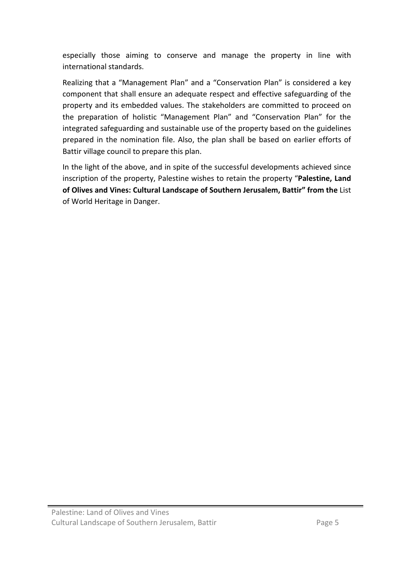especially those aiming to conserve and manage the property in line with international standards.

Realizing that a "Management Plan" and a "Conservation Plan" is considered a key component that shall ensure an adequate respect and effective safeguarding of the property and its embedded values. The stakeholders are committed to proceed on the preparation of holistic "Management Plan" and "Conservation Plan" for the integrated safeguarding and sustainable use of the property based on the guidelines prepared in the nomination file. Also, the plan shall be based on earlier efforts of Battir village council to prepare this plan.

In the light of the above, and in spite of the successful developments achieved since inscription of the property, Palestine wishes to retain the property "**Palestine, Land of Olives and Vines: Cultural Landscape of Southern Jerusalem, Battir" from the** List of World Heritage in Danger.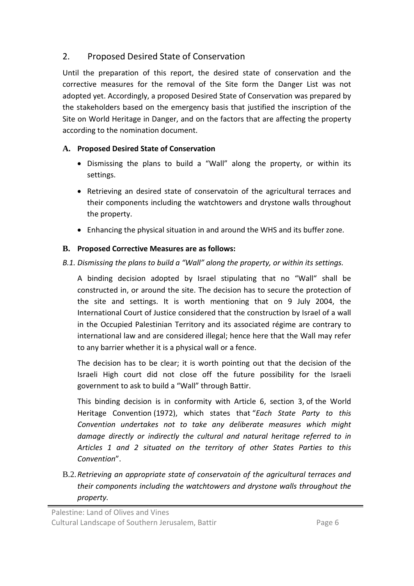# 2. Proposed Desired State of Conservation

Until the preparation of this report, the desired state of conservation and the corrective measures for the removal of the Site form the Danger List was not adopted yet. Accordingly, a proposed Desired State of Conservation was prepared by the stakeholders based on the emergency basis that justified the inscription of the Site on World Heritage in Danger, and on the factors that are affecting the property according to the nomination document.

## **A. Proposed Desired State of Conservation**

- Dismissing the plans to build a "Wall" along the property, or within its settings.
- Retrieving an desired state of conservatoin of the agricultural terraces and their components including the watchtowers and drystone walls throughout the property.
- Enhancing the physical situation in and around the WHS and its buffer zone.

# **B. Proposed Corrective Measures are as follows:**

# *B.1. Dismissing the plans to build a "Wall" along the property, or within its settings.*

A binding decision adopted by Israel stipulating that no "Wall" shall be constructed in, or around the site. The decision has to secure the protection of the site and settings. It is worth mentioning that on 9 July 2004, the International Court of Justice considered that the construction by Israel of a wall in the Occupied Palestinian Territory and its associated régime are contrary to international law and are considered illegal; hence here that the Wall may refer to any barrier whether it is a physical wall or a fence.

The decision has to be clear; it is worth pointing out that the decision of the Israeli High court did not close off the future possibility for the Israeli government to ask to build a "Wall" through Battir.

This binding decision is in conformity with Article 6, section 3, of the World Heritage Convention (1972), which states that "*Each State Party to this Convention undertakes not to take any deliberate measures which might damage directly or indirectly the cultural and natural heritage referred to in Articles 1 and 2 situated on the territory of other States Parties to this Convention*".

B.2.*Retrieving an appropriate state of conservatoin of the agricultural terraces and their components including the watchtowers and drystone walls throughout the property.*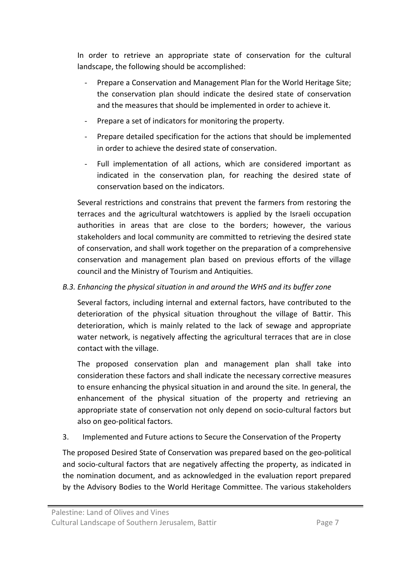In order to retrieve an appropriate state of conservation for the cultural landscape, the following should be accomplished:

- Prepare a Conservation and Management Plan for the World Heritage Site; the conservation plan should indicate the desired state of conservation and the measures that should be implemented in order to achieve it.
- Prepare a set of indicators for monitoring the property.
- Prepare detailed specification for the actions that should be implemented in order to achieve the desired state of conservation.
- Full implementation of all actions, which are considered important as indicated in the conservation plan, for reaching the desired state of conservation based on the indicators.

Several restrictions and constrains that prevent the farmers from restoring the terraces and the agricultural watchtowers is applied by the Israeli occupation authorities in areas that are close to the borders; however, the various stakeholders and local community are committed to retrieving the desired state of conservation, and shall work together on the preparation of a comprehensive conservation and management plan based on previous efforts of the village council and the Ministry of Tourism and Antiquities.

#### *B.3. Enhancing the physical situation in and around the WHS and its buffer zone*

Several factors, including internal and external factors, have contributed to the deterioration of the physical situation throughout the village of Battir. This deterioration, which is mainly related to the lack of sewage and appropriate water network, is negatively affecting the agricultural terraces that are in close contact with the village.

The proposed conservation plan and management plan shall take into consideration these factors and shall indicate the necessary corrective measures to ensure enhancing the physical situation in and around the site. In general, the enhancement of the physical situation of the property and retrieving an appropriate state of conservation not only depend on socio-cultural factors but also on geo-political factors.

3. Implemented and Future actions to Secure the Conservation of the Property

The proposed Desired State of Conservation was prepared based on the geo-political and socio-cultural factors that are negatively affecting the property, as indicated in the nomination document, and as acknowledged in the evaluation report prepared by the Advisory Bodies to the World Heritage Committee. The various stakeholders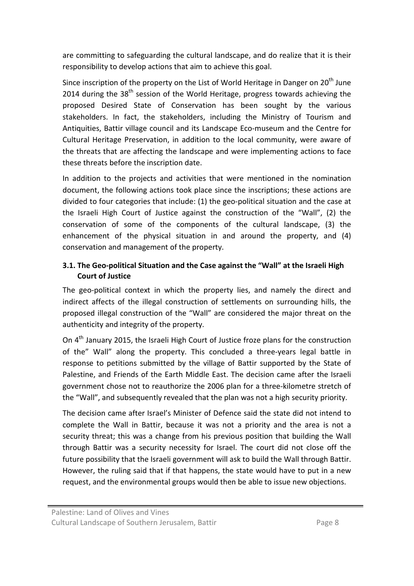are committing to safeguarding the cultural landscape, and do realize that it is their responsibility to develop actions that aim to achieve this goal.

Since inscription of the property on the List of World Heritage in Danger on  $20<sup>th</sup>$  June 2014 during the  $38<sup>th</sup>$  session of the World Heritage, progress towards achieving the proposed Desired State of Conservation has been sought by the various stakeholders. In fact, the stakeholders, including the Ministry of Tourism and Antiquities, Battir village council and its Landscape Eco-museum and the Centre for Cultural Heritage Preservation, in addition to the local community, were aware of the threats that are affecting the landscape and were implementing actions to face these threats before the inscription date.

In addition to the projects and activities that were mentioned in the nomination document, the following actions took place since the inscriptions; these actions are divided to four categories that include: (1) the geo-political situation and the case at the Israeli High Court of Justice against the construction of the "Wall", (2) the conservation of some of the components of the cultural landscape, (3) the enhancement of the physical situation in and around the property, and (4) conservation and management of the property.

#### **3.1. The Geo-political Situation and the Case against the "Wall" at the Israeli High Court of Justice**

The geo-political context in which the property lies, and namely the direct and indirect affects of the illegal construction of settlements on surrounding hills, the proposed illegal construction of the "Wall" are considered the major threat on the authenticity and integrity of the property.

On 4<sup>th</sup> January 2015, the Israeli High Court of Justice froze plans for the construction of the" Wall" along the property. This concluded a three-years legal battle in response to petitions submitted by the village of Battir supported by the State of Palestine, and Friends of the Earth Middle East. The decision came after the Israeli government chose not to reauthorize the 2006 plan for a three-kilometre stretch of the "Wall", and subsequently revealed that the plan was not a high security priority.

The decision came after Israel's Minister of Defence said the state did not intend to complete the Wall in Battir, because it was not a priority and the area is not a security threat; this was a change from his previous position that building the Wall through Battir was a security necessity for Israel. The court did not close off the future possibility that the Israeli government will ask to build the Wall through Battir. However, the ruling said that if that happens, the state would have to put in a new request, and the environmental groups would then be able to issue new objections.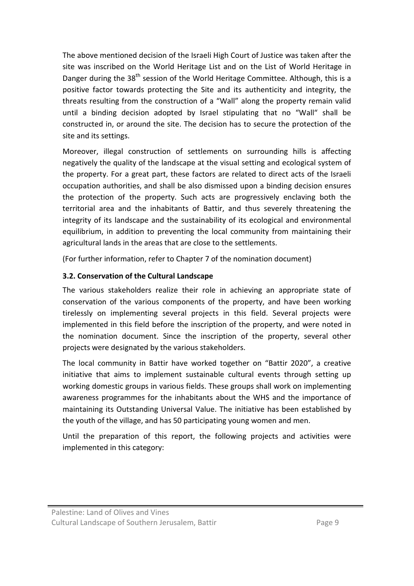The above mentioned decision of the Israeli High Court of Justice was taken after the site was inscribed on the World Heritage List and on the List of World Heritage in Danger during the 38<sup>th</sup> session of the World Heritage Committee. Although, this is a positive factor towards protecting the Site and its authenticity and integrity, the threats resulting from the construction of a "Wall" along the property remain valid until a binding decision adopted by Israel stipulating that no "Wall" shall be constructed in, or around the site. The decision has to secure the protection of the site and its settings.

Moreover, illegal construction of settlements on surrounding hills is affecting negatively the quality of the landscape at the visual setting and ecological system of the property. For a great part, these factors are related to direct acts of the Israeli occupation authorities, and shall be also dismissed upon a binding decision ensures the protection of the property. Such acts are progressively enclaving both the territorial area and the inhabitants of Battir, and thus severely threatening the integrity of its landscape and the sustainability of its ecological and environmental equilibrium, in addition to preventing the local community from maintaining their agricultural lands in the areas that are close to the settlements.

(For further information, refer to Chapter 7 of the nomination document)

#### **3.2. Conservation of the Cultural Landscape**

The various stakeholders realize their role in achieving an appropriate state of conservation of the various components of the property, and have been working tirelessly on implementing several projects in this field. Several projects were implemented in this field before the inscription of the property, and were noted in the nomination document. Since the inscription of the property, several other projects were designated by the various stakeholders.

The local community in Battir have worked together on "Battir 2020", a creative initiative that aims to implement sustainable cultural events through setting up working domestic groups in various fields. These groups shall work on implementing awareness programmes for the inhabitants about the WHS and the importance of maintaining its Outstanding Universal Value. The initiative has been established by the youth of the village, and has 50 participating young women and men.

Until the preparation of this report, the following projects and activities were implemented in this category: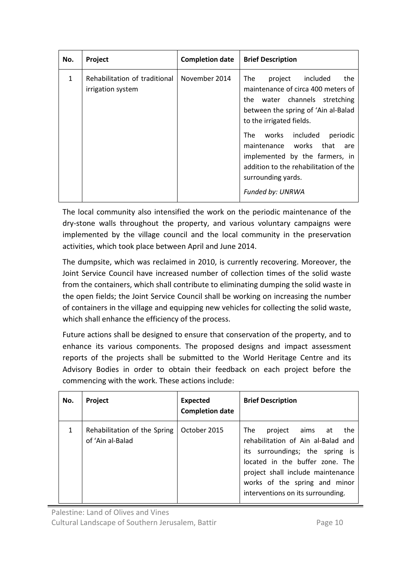| No. | Project                                            | <b>Completion date</b> | <b>Brief Description</b>                                                                                                                                                                                                                                                                                                                                               |
|-----|----------------------------------------------------|------------------------|------------------------------------------------------------------------------------------------------------------------------------------------------------------------------------------------------------------------------------------------------------------------------------------------------------------------------------------------------------------------|
| 1   | Rehabilitation of traditional<br>irrigation system | November 2014          | project included<br>The<br>the<br>maintenance of circa 400 meters of<br>the water channels stretching<br>between the spring of 'Ain al-Balad<br>to the irrigated fields.<br>works included<br>The<br>periodic<br>maintenance works<br>that<br>are<br>implemented by the farmers, in<br>addition to the rehabilitation of the<br>surrounding yards.<br>Funded by: UNRWA |

The local community also intensified the work on the periodic maintenance of the dry-stone walls throughout the property, and various voluntary campaigns were implemented by the village council and the local community in the preservation activities, which took place between April and June 2014.

The dumpsite, which was reclaimed in 2010, is currently recovering. Moreover, the Joint Service Council have increased number of collection times of the solid waste from the containers, which shall contribute to eliminating dumping the solid waste in the open fields; the Joint Service Council shall be working on increasing the number of containers in the village and equipping new vehicles for collecting the solid waste, which shall enhance the efficiency of the process.

Future actions shall be designed to ensure that conservation of the property, and to enhance its various components. The proposed designs and impact assessment reports of the projects shall be submitted to the World Heritage Centre and its Advisory Bodies in order to obtain their feedback on each project before the commencing with the work. These actions include:

| No. | Project                                          | <b>Expected</b><br><b>Completion date</b> | <b>Brief Description</b>                                                                                                                                                                                                                             |
|-----|--------------------------------------------------|-------------------------------------------|------------------------------------------------------------------------------------------------------------------------------------------------------------------------------------------------------------------------------------------------------|
| 1   | Rehabilitation of the Spring<br>of 'Ain al-Balad | October 2015                              | The<br>project aims at<br>the<br>rehabilitation of Ain al-Balad and<br>its surroundings; the spring is<br>located in the buffer zone. The<br>project shall include maintenance<br>works of the spring and minor<br>interventions on its surrounding. |

Palestine: Land of Olives and Vines

Cultural Landscape of Southern Jerusalem, Battir Page 10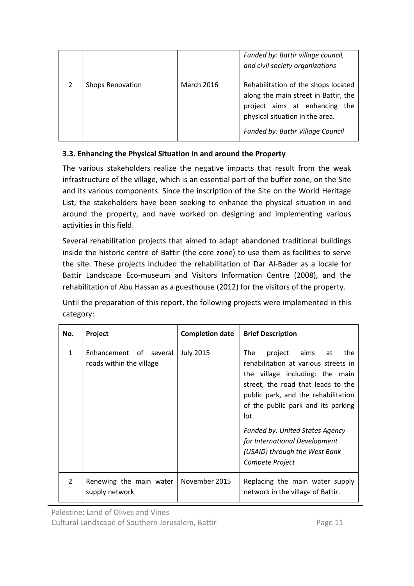|  |                         |                   | Funded by: Battir village council,<br>and civil society organizations                                                                                                                |
|--|-------------------------|-------------------|--------------------------------------------------------------------------------------------------------------------------------------------------------------------------------------|
|  | <b>Shops Renovation</b> | <b>March 2016</b> | Rehabilitation of the shops located<br>along the main street in Battir, the<br>project aims at enhancing the<br>physical situation in the area.<br>Funded by: Battir Village Council |

#### **3.3. Enhancing the Physical Situation in and around the Property**

The various stakeholders realize the negative impacts that result from the weak infrastructure of the village, which is an essential part of the buffer zone, on the Site and its various components. Since the inscription of the Site on the World Heritage List, the stakeholders have been seeking to enhance the physical situation in and around the property, and have worked on designing and implementing various activities in this field.

Several rehabilitation projects that aimed to adapt abandoned traditional buildings inside the historic centre of Battir (the core zone) to use them as facilities to serve the site. These projects included the rehabilitation of Dar Al-Bader as a locale for Battir Landscape Eco-museum and Visitors Information Centre (2008), and the rehabilitation of Abu Hassan as a guesthouse (2012) for the visitors of the property.

Until the preparation of this report, the following projects were implemented in this category:

| No.            | Project                                            | <b>Completion date</b> | <b>Brief Description</b>                                                                                                                                                                                                                                                                                                                                           |
|----------------|----------------------------------------------------|------------------------|--------------------------------------------------------------------------------------------------------------------------------------------------------------------------------------------------------------------------------------------------------------------------------------------------------------------------------------------------------------------|
| $\mathbf{1}$   | Enhancement of several<br>roads within the village | <b>July 2015</b>       | project aims at<br>The<br>the<br>rehabilitation at various streets in<br>the village including: the main<br>street, the road that leads to the<br>public park, and the rehabilitation<br>of the public park and its parking<br>lot.<br><b>Funded by: United States Agency</b><br>for International Development<br>(USAID) through the West Bank<br>Compete Project |
| $\overline{2}$ | Renewing the main water<br>supply network          | November 2015          | Replacing the main water supply<br>network in the village of Battir.                                                                                                                                                                                                                                                                                               |

Cultural Landscape of Southern Jerusalem, Battir **Page 11** Page 11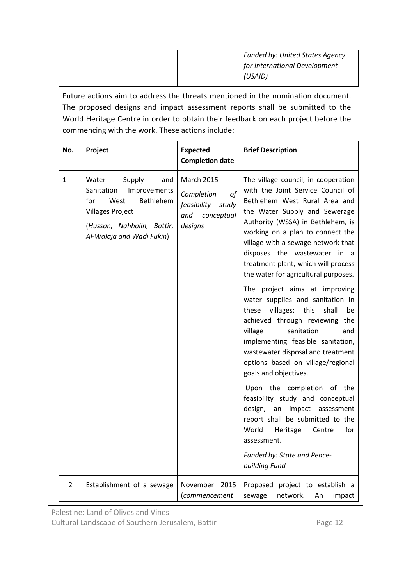|  | <b>Funded by: United States Agency</b> |
|--|----------------------------------------|
|  | for International Development          |
|  | (USAID)                                |

Future actions aim to address the threats mentioned in the nomination document. The proposed designs and impact assessment reports shall be submitted to the World Heritage Centre in order to obtain their feedback on each project before the commencing with the work. These actions include:

| No.            | Project                                                                                                                                                                | <b>Expected</b><br><b>Completion date</b>                                                  | <b>Brief Description</b>                                                                                                                                                                                                                                                                                                                                                                                                                                                                                                                                                                                                                                                                                                                                                                                                                                                                                                                                               |
|----------------|------------------------------------------------------------------------------------------------------------------------------------------------------------------------|--------------------------------------------------------------------------------------------|------------------------------------------------------------------------------------------------------------------------------------------------------------------------------------------------------------------------------------------------------------------------------------------------------------------------------------------------------------------------------------------------------------------------------------------------------------------------------------------------------------------------------------------------------------------------------------------------------------------------------------------------------------------------------------------------------------------------------------------------------------------------------------------------------------------------------------------------------------------------------------------------------------------------------------------------------------------------|
| $\mathbf{1}$   | Supply<br>Water<br>and<br>Improvements<br>Sanitation<br>Bethlehem<br>for<br>West<br><b>Villages Project</b><br>(Hussan, Nahhalin, Battir,<br>Al-Walaja and Wadi Fukin) | <b>March 2015</b><br>of<br>Completion<br>feasibility<br>study<br>and conceptual<br>designs | The village council, in cooperation<br>with the Joint Service Council of<br>Bethlehem West Rural Area and<br>the Water Supply and Sewerage<br>Authority (WSSA) in Bethlehem, is<br>working on a plan to connect the<br>village with a sewage network that<br>disposes the wastewater<br>in<br>a a<br>treatment plant, which will process<br>the water for agricultural purposes.<br>The project aims at improving<br>water supplies and sanitation in<br>villages;<br>this<br>these<br>shall<br>be<br>achieved through reviewing<br>the<br>sanitation<br>village<br>and<br>implementing feasible sanitation,<br>wastewater disposal and treatment<br>options based on village/regional<br>goals and objectives.<br>Upon the completion<br>of the<br>feasibility study and conceptual<br>design,<br>impact<br>an<br>assessment<br>report shall be submitted to the<br>World<br>Heritage<br>for<br>Centre<br>assessment.<br>Funded by: State and Peace-<br>building Fund |
| $\overline{2}$ | Establishment of a sewage                                                                                                                                              | November<br>2015<br>(commencement                                                          | Proposed project to establish a<br>network.<br>sewage<br>An<br>impact                                                                                                                                                                                                                                                                                                                                                                                                                                                                                                                                                                                                                                                                                                                                                                                                                                                                                                  |

Palestine: Land of Olives and Vines

Cultural Landscape of Southern Jerusalem, Battir Page 12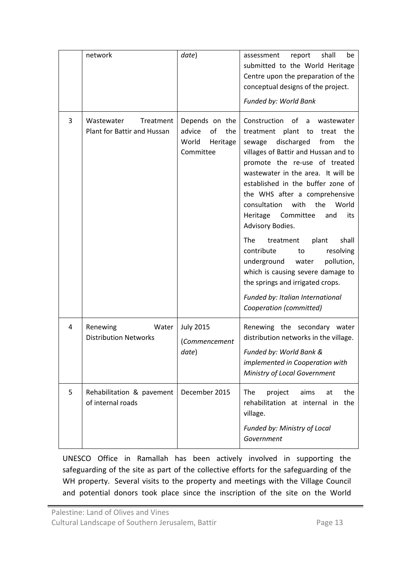|   | network                                                       | date)                                                                   | assessment<br>report<br>shall<br>be<br>submitted to the World Heritage<br>Centre upon the preparation of the<br>conceptual designs of the project.<br>Funded by: World Bank                                                                                                                                                                                                                                                                                                                                                                                                                                                                            |
|---|---------------------------------------------------------------|-------------------------------------------------------------------------|--------------------------------------------------------------------------------------------------------------------------------------------------------------------------------------------------------------------------------------------------------------------------------------------------------------------------------------------------------------------------------------------------------------------------------------------------------------------------------------------------------------------------------------------------------------------------------------------------------------------------------------------------------|
| 3 | Wastewater<br>Treatment<br><b>Plant for Battir and Hussan</b> | Depends on the<br>advice<br>of<br>the<br>World<br>Heritage<br>Committee | Construction<br>of<br>a<br>wastewater<br>treatment plant to treat the<br>discharged<br>from<br>the<br>sewage<br>villages of Battir and Hussan and to<br>promote the re-use of treated<br>wastewater in the area. It will be<br>established in the buffer zone of<br>the WHS after a comprehensive<br>consultation<br>the<br>with<br>World<br>Heritage<br>Committee<br>its<br>and<br>Advisory Bodies.<br>The<br>shall<br>treatment<br>plant<br>contribute<br>resolving<br>to<br>underground water<br>pollution,<br>which is causing severe damage to<br>the springs and irrigated crops.<br>Funded by: Italian International<br>Cooperation (committed) |
| 4 | Renewing<br>Water<br><b>Distribution Networks</b>             | <b>July 2015</b><br>(Commencement<br>date)                              | Renewing the secondary water<br>distribution networks in the village.<br>Funded by: World Bank &<br>implemented in Cooperation with<br>Ministry of Local Government                                                                                                                                                                                                                                                                                                                                                                                                                                                                                    |
| 5 | Rehabilitation & pavement<br>of internal roads                | December 2015                                                           | The<br>the<br>project<br>aims<br>at<br>rehabilitation at internal in the<br>village.<br>Funded by: Ministry of Local<br>Government                                                                                                                                                                                                                                                                                                                                                                                                                                                                                                                     |

UNESCO Office in Ramallah has been actively involved in supporting the safeguarding of the site as part of the collective efforts for the safeguarding of the WH property. Several visits to the property and meetings with the Village Council and potential donors took place since the inscription of the site on the World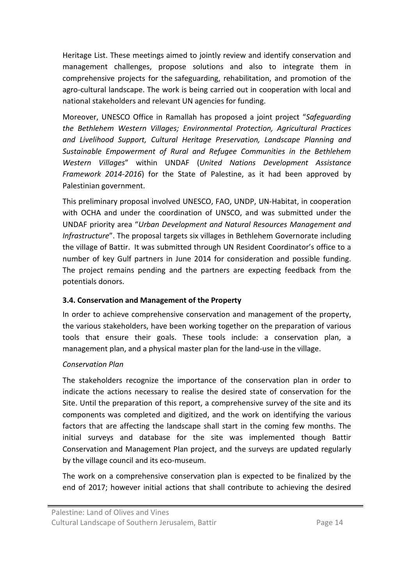Heritage List. These meetings aimed to jointly review and identify conservation and management challenges, propose solutions and also to integrate them in comprehensive projects for the safeguarding, rehabilitation, and promotion of the agro-cultural landscape. The work is being carried out in cooperation with local and national stakeholders and relevant UN agencies for funding.

Moreover, UNESCO Office in Ramallah has proposed a joint project "*Safeguarding the Bethlehem Western Villages; Environmental Protection, Agricultural Practices and Livelihood Support, Cultural Heritage Preservation, Landscape Planning and Sustainable Empowerment of Rural and Refugee Communities in the Bethlehem Western Villages*" within UNDAF (*United Nations Development Assistance Framework 2014-2016*) for the State of Palestine, as it had been approved by Palestinian government.

This preliminary proposal involved UNESCO, FAO, UNDP, UN-Habitat, in cooperation with OCHA and under the coordination of UNSCO, and was submitted under the UNDAF priority area "*Urban Development and Natural Resources Management and Infrastructure*". The proposal targets six villages in Bethlehem Governorate including the village of Battir. It was submitted through UN Resident Coordinator's office to a number of key Gulf partners in June 2014 for consideration and possible funding. The project remains pending and the partners are expecting feedback from the potentials donors.

#### **3.4. Conservation and Management of the Property**

In order to achieve comprehensive conservation and management of the property, the various stakeholders, have been working together on the preparation of various tools that ensure their goals. These tools include: a conservation plan, a management plan, and a physical master plan for the land-use in the village.

#### *Conservation Plan*

The stakeholders recognize the importance of the conservation plan in order to indicate the actions necessary to realise the desired state of conservation for the Site. Until the preparation of this report, a comprehensive survey of the site and its components was completed and digitized, and the work on identifying the various factors that are affecting the landscape shall start in the coming few months. The initial surveys and database for the site was implemented though Battir Conservation and Management Plan project, and the surveys are updated regularly by the village council and its eco-museum.

The work on a comprehensive conservation plan is expected to be finalized by the end of 2017; however initial actions that shall contribute to achieving the desired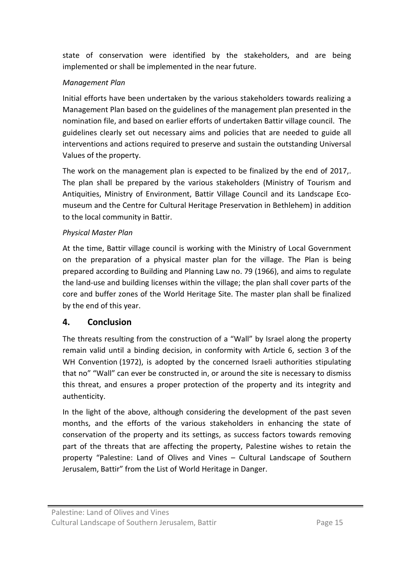state of conservation were identified by the stakeholders, and are being implemented or shall be implemented in the near future.

## *Management Plan*

Initial efforts have been undertaken by the various stakeholders towards realizing a Management Plan based on the guidelines of the management plan presented in the nomination file, and based on earlier efforts of undertaken Battir village council. The guidelines clearly set out necessary aims and policies that are needed to guide all interventions and actions required to preserve and sustain the outstanding Universal Values of the property.

The work on the management plan is expected to be finalized by the end of 2017,. The plan shall be prepared by the various stakeholders (Ministry of Tourism and Antiquities, Ministry of Environment, Battir Village Council and its Landscape Ecomuseum and the Centre for Cultural Heritage Preservation in Bethlehem) in addition to the local community in Battir.

#### *Physical Master Plan*

At the time, Battir village council is working with the Ministry of Local Government on the preparation of a physical master plan for the village. The Plan is being prepared according to Building and Planning Law no. 79 (1966), and aims to regulate the land-use and building licenses within the village; the plan shall cover parts of the core and buffer zones of the World Heritage Site. The master plan shall be finalized by the end of this year.

## **4. Conclusion**

The threats resulting from the construction of a "Wall" by Israel along the property remain valid until a binding decision, in conformity with Article 6, section 3 of the WH Convention (1972), is adopted by the concerned Israeli authorities stipulating that no" "Wall" can ever be constructed in, or around the site is necessary to dismiss this threat, and ensures a proper protection of the property and its integrity and authenticity.

In the light of the above, although considering the development of the past seven months, and the efforts of the various stakeholders in enhancing the state of conservation of the property and its settings, as success factors towards removing part of the threats that are affecting the property, Palestine wishes to retain the property "Palestine: Land of Olives and Vines – Cultural Landscape of Southern Jerusalem, Battir" from the List of World Heritage in Danger.